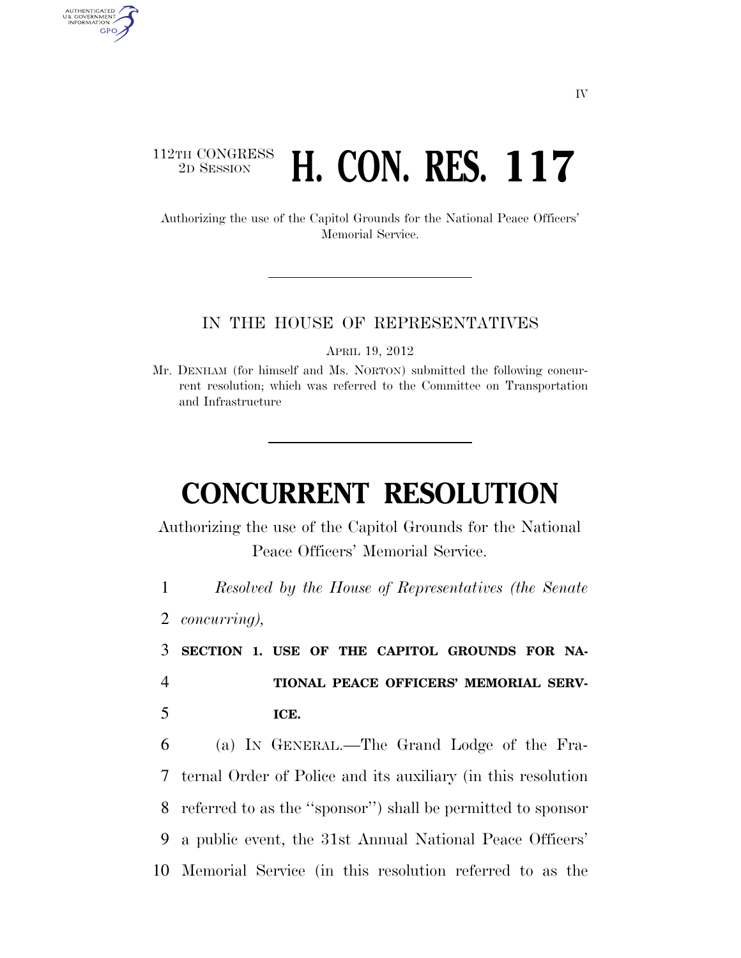## 112TH CONGRESS <sup>TH CONGRESS</sup> **H. CON. RES. 117**

Authorizing the use of the Capitol Grounds for the National Peace Officers' Memorial Service.

#### IN THE HOUSE OF REPRESENTATIVES

APRIL 19, 2012

Mr. DENHAM (for himself and Ms. NORTON) submitted the following concurrent resolution; which was referred to the Committee on Transportation and Infrastructure

# **CONCURRENT RESOLUTION**

Authorizing the use of the Capitol Grounds for the National Peace Officers' Memorial Service.

1 *Resolved by the House of Representatives (the Senate* 

2 *concurring),* 

AUTHENTICATED U.S. GOVERNMENT GPO

> 3 **SECTION 1. USE OF THE CAPITOL GROUNDS FOR NA-**4 **TIONAL PEACE OFFICERS' MEMORIAL SERV-**5 **ICE.**

 (a) IN GENERAL.—The Grand Lodge of the Fra- ternal Order of Police and its auxiliary (in this resolution referred to as the ''sponsor'') shall be permitted to sponsor a public event, the 31st Annual National Peace Officers' Memorial Service (in this resolution referred to as the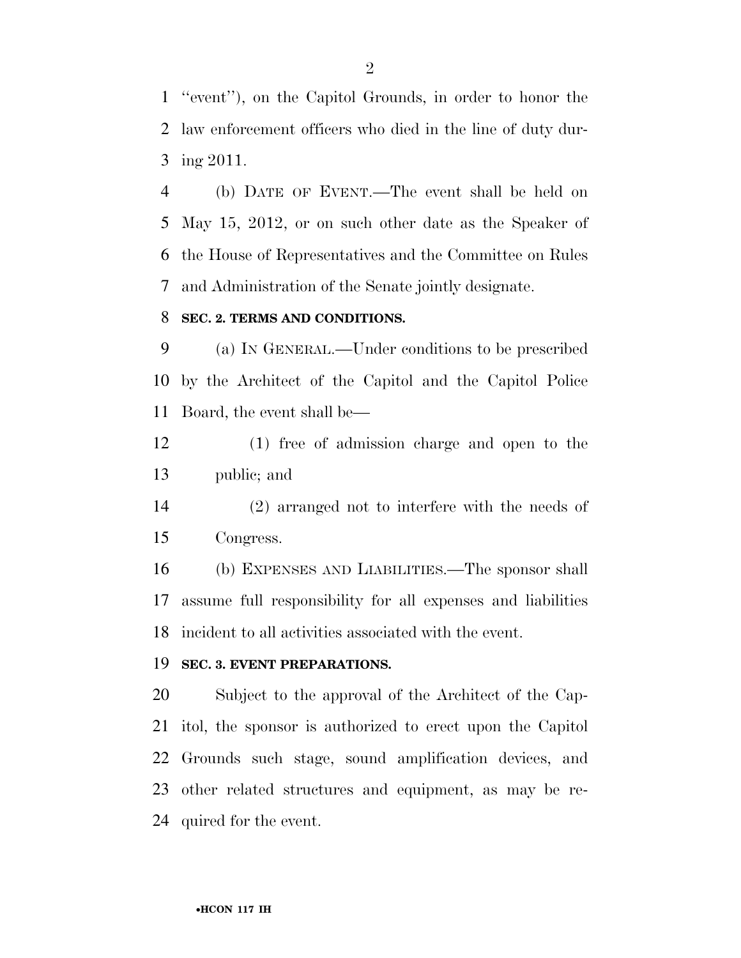''event''), on the Capitol Grounds, in order to honor the law enforcement officers who died in the line of duty dur-ing 2011.

 (b) DATE OF EVENT.—The event shall be held on May 15, 2012, or on such other date as the Speaker of the House of Representatives and the Committee on Rules and Administration of the Senate jointly designate.

#### **SEC. 2. TERMS AND CONDITIONS.**

 (a) IN GENERAL.—Under conditions to be prescribed by the Architect of the Capitol and the Capitol Police Board, the event shall be—

 (1) free of admission charge and open to the public; and

 (2) arranged not to interfere with the needs of Congress.

 (b) EXPENSES AND LIABILITIES.—The sponsor shall assume full responsibility for all expenses and liabilities incident to all activities associated with the event.

#### **SEC. 3. EVENT PREPARATIONS.**

 Subject to the approval of the Architect of the Cap- itol, the sponsor is authorized to erect upon the Capitol Grounds such stage, sound amplification devices, and other related structures and equipment, as may be re-quired for the event.